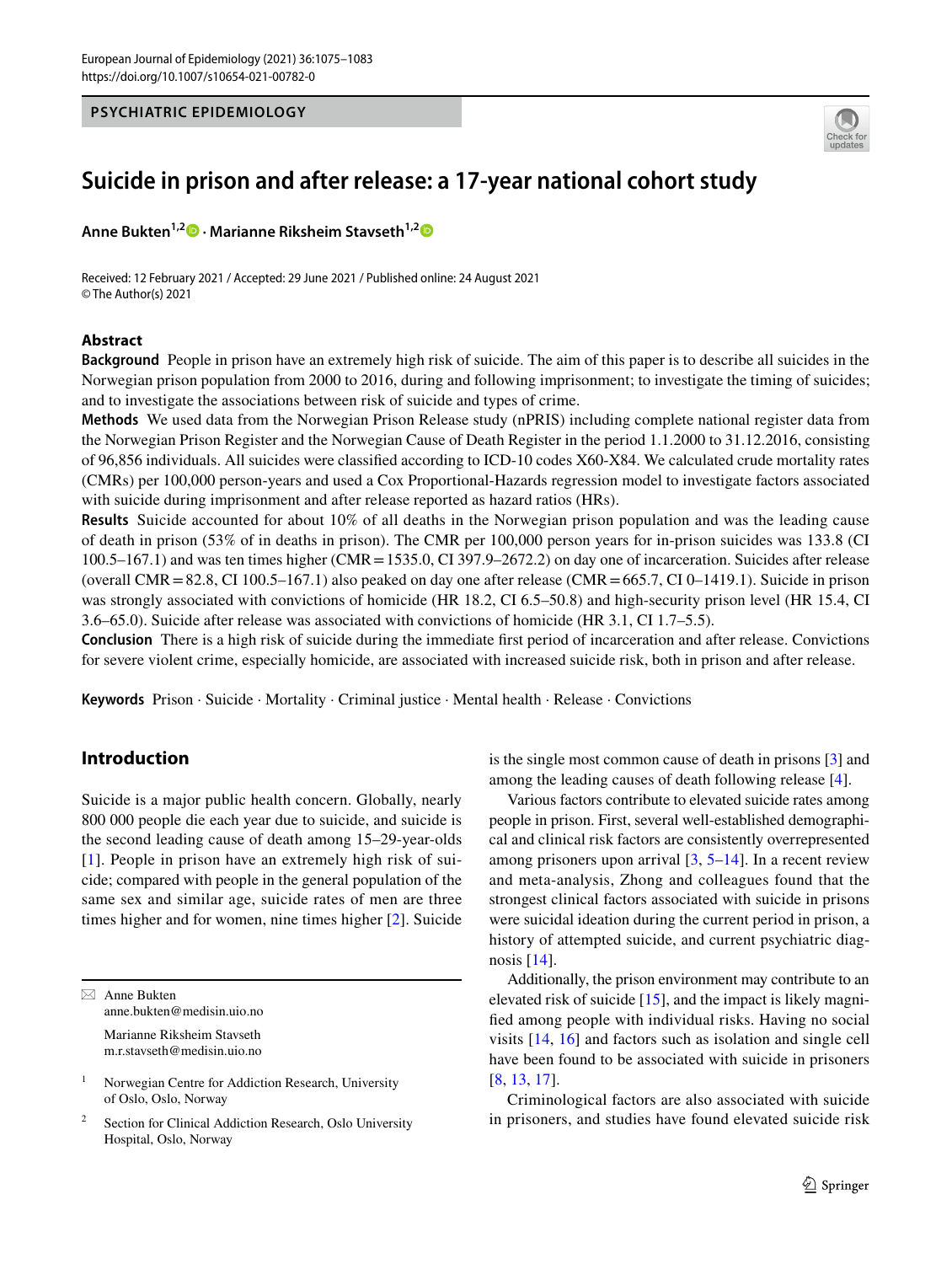#### **PSYCHIATRIC EPIDEMIOLOGY**



# **Suicide in prison and after release: a 17‑year national cohort study**

**Anne Bukten<sup>1,[2](http://orcid.org/0000-0002-9324-6194)</sup> • Marianne Riksheim Stavseth<sup>1,2</sup> •** 

Received: 12 February 2021 / Accepted: 29 June 2021 / Published online: 24 August 2021 © The Author(s) 2021

# **Abstract**

**Background** People in prison have an extremely high risk of suicide. The aim of this paper is to describe all suicides in the Norwegian prison population from 2000 to 2016, during and following imprisonment; to investigate the timing of suicides; and to investigate the associations between risk of suicide and types of crime.

**Methods** We used data from the Norwegian Prison Release study (nPRIS) including complete national register data from the Norwegian Prison Register and the Norwegian Cause of Death Register in the period 1.1.2000 to 31.12.2016, consisting of 96,856 individuals. All suicides were classifed according to ICD-10 codes X60-X84. We calculated crude mortality rates (CMRs) per 100,000 person-years and used a Cox Proportional-Hazards regression model to investigate factors associated with suicide during imprisonment and after release reported as hazard ratios (HRs).

**Results** Suicide accounted for about 10% of all deaths in the Norwegian prison population and was the leading cause of death in prison (53% of in deaths in prison). The CMR per 100,000 person years for in-prison suicides was 133.8 (CI 100.5–167.1) and was ten times higher (CMR=1535.0, CI 397.9–2672.2) on day one of incarceration. Suicides after release (overall CMR = 82.8, CI 100.5–167.1) also peaked on day one after release (CMR = 665.7, CI 0–1419.1). Suicide in prison was strongly associated with convictions of homicide (HR 18.2, CI 6.5–50.8) and high-security prison level (HR 15.4, CI 3.6–65.0). Suicide after release was associated with convictions of homicide (HR 3.1, CI 1.7–5.5).

**Conclusion** There is a high risk of suicide during the immediate frst period of incarceration and after release. Convictions for severe violent crime, especially homicide, are associated with increased suicide risk, both in prison and after release.

**Keywords** Prison · Suicide · Mortality · Criminal justice · Mental health · Release · Convictions

# **Introduction**

Suicide is a major public health concern. Globally, nearly 800 000 people die each year due to suicide, and suicide is the second leading cause of death among 15–29-year-olds [[1\]](#page-7-0). People in prison have an extremely high risk of suicide; compared with people in the general population of the same sex and similar age, suicide rates of men are three times higher and for women, nine times higher [\[2](#page-7-1)]. Suicide

 $\boxtimes$  Anne Bukten anne.bukten@medisin.uio.no Marianne Riksheim Stavseth

m.r.stavseth@medisin.uio.no

<sup>1</sup> Norwegian Centre for Addiction Research, University of Oslo, Oslo, Norway

Section for Clinical Addiction Research, Oslo University Hospital, Oslo, Norway

is the single most common cause of death in prisons [\[3](#page-7-2)] and among the leading causes of death following release [\[4](#page-8-0)].

Various factors contribute to elevated suicide rates among people in prison. First, several well-established demographical and clinical risk factors are consistently overrepresented among prisoners upon arrival  $[3, 5-14]$  $[3, 5-14]$  $[3, 5-14]$ . In a recent review and meta-analysis, Zhong and colleagues found that the strongest clinical factors associated with suicide in prisons were suicidal ideation during the current period in prison, a history of attempted suicide, and current psychiatric diagnosis [[14\]](#page-8-2).

Additionally, the prison environment may contribute to an elevated risk of suicide [\[15](#page-8-3)], and the impact is likely magnifed among people with individual risks. Having no social visits [[14](#page-8-2), [16\]](#page-8-4) and factors such as isolation and single cell have been found to be associated with suicide in prisoners [[8,](#page-8-5) [13,](#page-8-6) [17\]](#page-8-7).

Criminological factors are also associated with suicide in prisoners, and studies have found elevated suicide risk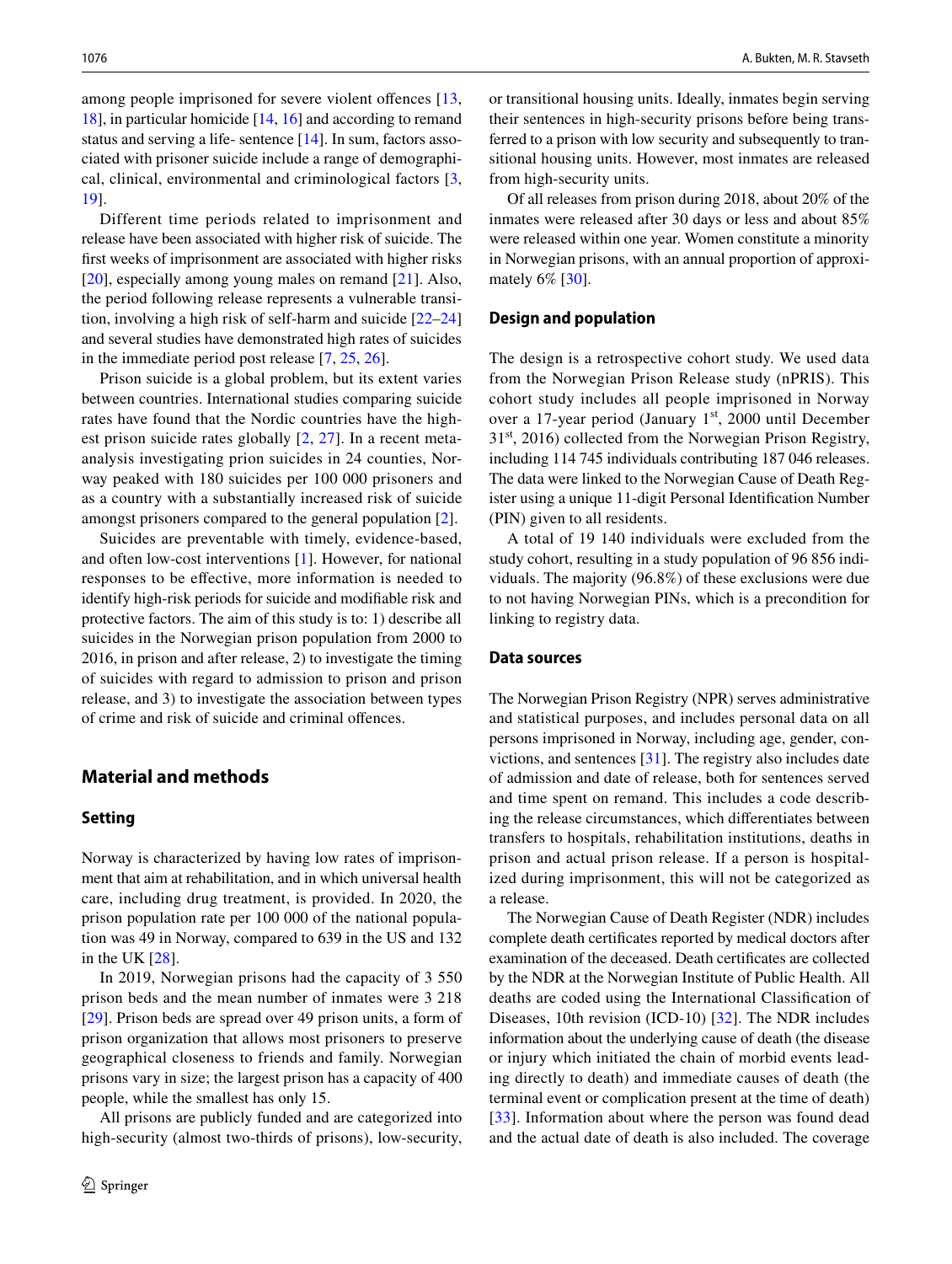among people imprisoned for severe violent offences [\[13,](#page-8-6) [18\]](#page-8-8), in particular homicide [[14,](#page-8-2) [16](#page-8-4)] and according to remand status and serving a life- sentence [[14\]](#page-8-2). In sum, factors associated with prisoner suicide include a range of demographical, clinical, environmental and criminological factors [[3,](#page-7-2) [19](#page-8-9)].

Different time periods related to imprisonment and release have been associated with higher risk of suicide. The frst weeks of imprisonment are associated with higher risks [\[20\]](#page-8-10), especially among young males on remand [[21](#page-8-11)]. Also, the period following release represents a vulnerable transition, involving a high risk of self-harm and suicide [[22–](#page-8-12)[24\]](#page-8-13) and several studies have demonstrated high rates of suicides in the immediate period post release [[7,](#page-8-14) [25](#page-8-15), [26](#page-8-16)].

Prison suicide is a global problem, but its extent varies between countries. International studies comparing suicide rates have found that the Nordic countries have the highest prison suicide rates globally [[2,](#page-7-1) [27\]](#page-8-17). In a recent metaanalysis investigating prion suicides in 24 counties, Norway peaked with 180 suicides per 100 000 prisoners and as a country with a substantially increased risk of suicide amongst prisoners compared to the general population [[2\]](#page-7-1).

Suicides are preventable with timely, evidence-based, and often low-cost interventions [[1\]](#page-7-0). However, for national responses to be efective, more information is needed to identify high-risk periods for suicide and modifable risk and protective factors. The aim of this study is to: 1) describe all suicides in the Norwegian prison population from 2000 to 2016, in prison and after release, 2) to investigate the timing of suicides with regard to admission to prison and prison release, and 3) to investigate the association between types of crime and risk of suicide and criminal ofences.

# **Material and methods**

### **Setting**

Norway is characterized by having low rates of imprisonment that aim at rehabilitation, and in which universal health care, including drug treatment, is provided. In 2020, the prison population rate per 100 000 of the national population was 49 in Norway, compared to 639 in the US and 132 in the UK [[28\]](#page-8-18).

In 2019, Norwegian prisons had the capacity of 3 550 prison beds and the mean number of inmates were 3 218 [\[29\]](#page-8-19). Prison beds are spread over 49 prison units, a form of prison organization that allows most prisoners to preserve geographical closeness to friends and family. Norwegian prisons vary in size; the largest prison has a capacity of 400 people, while the smallest has only 15.

All prisons are publicly funded and are categorized into high-security (almost two-thirds of prisons), low-security, or transitional housing units. Ideally, inmates begin serving their sentences in high-security prisons before being transferred to a prison with low security and subsequently to transitional housing units. However, most inmates are released from high-security units.

Of all releases from prison during 2018, about 20% of the inmates were released after 30 days or less and about 85% were released within one year. Women constitute a minority in Norwegian prisons, with an annual proportion of approximately 6% [\[30](#page-8-20)].

#### **Design and population**

The design is a retrospective cohort study. We used data from the Norwegian Prison Release study (nPRIS). This cohort study includes all people imprisoned in Norway over a 17-year period (January 1st, 2000 until December  $31<sup>st</sup>$ , 2016) collected from the Norwegian Prison Registry, including 114 745 individuals contributing 187 046 releases. The data were linked to the Norwegian Cause of Death Register using a unique 11-digit Personal Identifcation Number (PIN) given to all residents.

A total of 19 140 individuals were excluded from the study cohort, resulting in a study population of 96 856 individuals. The majority (96.8%) of these exclusions were due to not having Norwegian PINs, which is a precondition for linking to registry data.

#### **Data sources**

The Norwegian Prison Registry (NPR) serves administrative and statistical purposes, and includes personal data on all persons imprisoned in Norway, including age, gender, convictions, and sentences [[31\]](#page-8-21). The registry also includes date of admission and date of release, both for sentences served and time spent on remand. This includes a code describing the release circumstances, which diferentiates between transfers to hospitals, rehabilitation institutions, deaths in prison and actual prison release. If a person is hospitalized during imprisonment, this will not be categorized as a release.

The Norwegian Cause of Death Register (NDR) includes complete death certifcates reported by medical doctors after examination of the deceased. Death certifcates are collected by the NDR at the Norwegian Institute of Public Health. All deaths are coded using the International Classifcation of Diseases, 10th revision (ICD-10) [\[32](#page-8-22)]. The NDR includes information about the underlying cause of death (the disease or injury which initiated the chain of morbid events leading directly to death) and immediate causes of death (the terminal event or complication present at the time of death) [[33\]](#page-8-23). Information about where the person was found dead and the actual date of death is also included. The coverage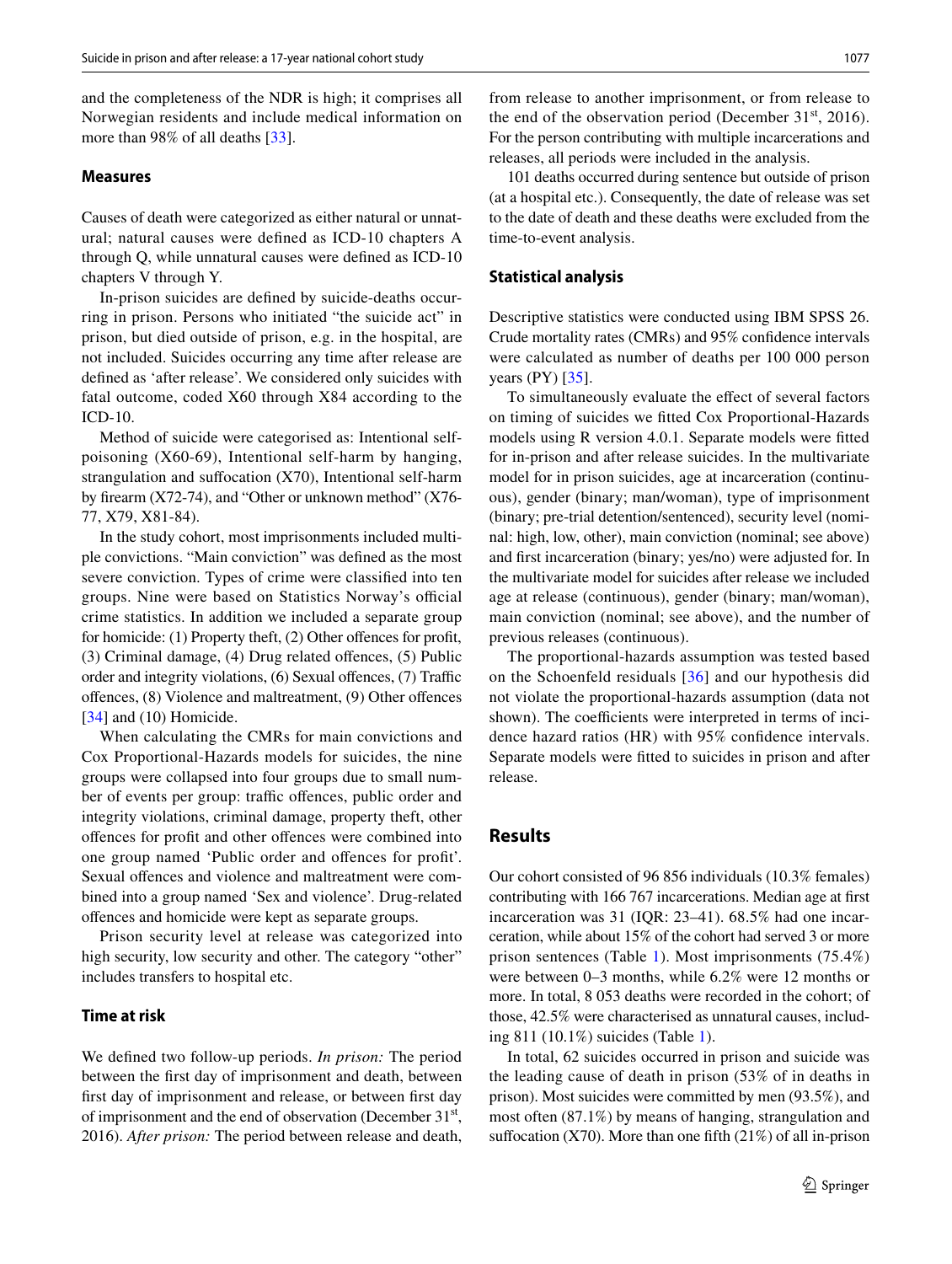and the completeness of the NDR is high; it comprises all Norwegian residents and include medical information on more than 98% of all deaths [\[33](#page-8-23)].

#### **Measures**

Causes of death were categorized as either natural or unnatural; natural causes were defned as ICD-10 chapters A through Q, while unnatural causes were defned as ICD-10 chapters V through Y.

In-prison suicides are defned by suicide-deaths occurring in prison. Persons who initiated "the suicide act" in prison, but died outside of prison, e.g. in the hospital, are not included. Suicides occurring any time after release are defned as 'after release'. We considered only suicides with fatal outcome, coded X60 through X84 according to the ICD-10.

Method of suicide were categorised as: Intentional selfpoisoning (X60-69), Intentional self-harm by hanging, strangulation and suffocation (X70), Intentional self-harm by frearm (X72-74), and "Other or unknown method" (X76- 77, X79, X81-84).

In the study cohort, most imprisonments included multiple convictions. "Main conviction" was defned as the most severe conviction. Types of crime were classifed into ten groups. Nine were based on Statistics Norway's official crime statistics. In addition we included a separate group for homicide: (1) Property theft, (2) Other offences for profit, (3) Criminal damage, (4) Drug related ofences, (5) Public order and integrity violations, (6) Sexual offences, (7) Traffic ofences, (8) Violence and maltreatment, (9) Other ofences [\[34\]](#page-8-24) and (10) Homicide.

When calculating the CMRs for main convictions and Cox Proportional-Hazards models for suicides, the nine groups were collapsed into four groups due to small number of events per group: traffic offences, public order and integrity violations, criminal damage, property theft, other ofences for proft and other ofences were combined into one group named 'Public order and ofences for proft'. Sexual offences and violence and maltreatment were combined into a group named 'Sex and violence'. Drug-related ofences and homicide were kept as separate groups.

Prison security level at release was categorized into high security, low security and other. The category "other" includes transfers to hospital etc.

### **Time at risk**

We defned two follow-up periods. *In prison:* The period between the frst day of imprisonment and death, between frst day of imprisonment and release, or between frst day of imprisonment and the end of observation (December 31<sup>st</sup>, 2016). *After prison:* The period between release and death,

from release to another imprisonment, or from release to the end of the observation period (December 31 $\mathrm{^{st}}$ , 2016). For the person contributing with multiple incarcerations and releases, all periods were included in the analysis.

101 deaths occurred during sentence but outside of prison (at a hospital etc.). Consequently, the date of release was set to the date of death and these deaths were excluded from the time-to-event analysis.

#### **Statistical analysis**

Descriptive statistics were conducted using IBM SPSS 26. Crude mortality rates (CMRs) and 95% confdence intervals were calculated as number of deaths per 100 000 person years  $(PY)$  [\[35](#page-8-25)].

To simultaneously evaluate the efect of several factors on timing of suicides we ftted Cox Proportional-Hazards models using R version 4.0.1. Separate models were ftted for in-prison and after release suicides. In the multivariate model for in prison suicides, age at incarceration (continuous), gender (binary; man/woman), type of imprisonment (binary; pre-trial detention/sentenced), security level (nominal: high, low, other), main conviction (nominal; see above) and frst incarceration (binary; yes/no) were adjusted for. In the multivariate model for suicides after release we included age at release (continuous), gender (binary; man/woman), main conviction (nominal; see above), and the number of previous releases (continuous).

The proportional-hazards assumption was tested based on the Schoenfeld residuals [[36\]](#page-8-26) and our hypothesis did not violate the proportional-hazards assumption (data not shown). The coefficients were interpreted in terms of incidence hazard ratios (HR) with 95% confdence intervals. Separate models were ftted to suicides in prison and after release.

# **Results**

Our cohort consisted of 96 856 individuals (10.3% females) contributing with 166 767 incarcerations. Median age at frst incarceration was 31 (IQR: 23–41). 68.5% had one incarceration, while about 15% of the cohort had served 3 or more prison sentences (Table [1](#page-3-0)). Most imprisonments (75.4%) were between 0–3 months, while 6.2% were 12 months or more. In total, 8 053 deaths were recorded in the cohort; of those, 42.5% were characterised as unnatural causes, including 811 (10.1%) suicides (Table [1](#page-3-0)).

In total, 62 suicides occurred in prison and suicide was the leading cause of death in prison (53% of in deaths in prison). Most suicides were committed by men (93.5%), and most often (87.1%) by means of hanging, strangulation and suffocation (X70). More than one fifth  $(21\%)$  of all in-prison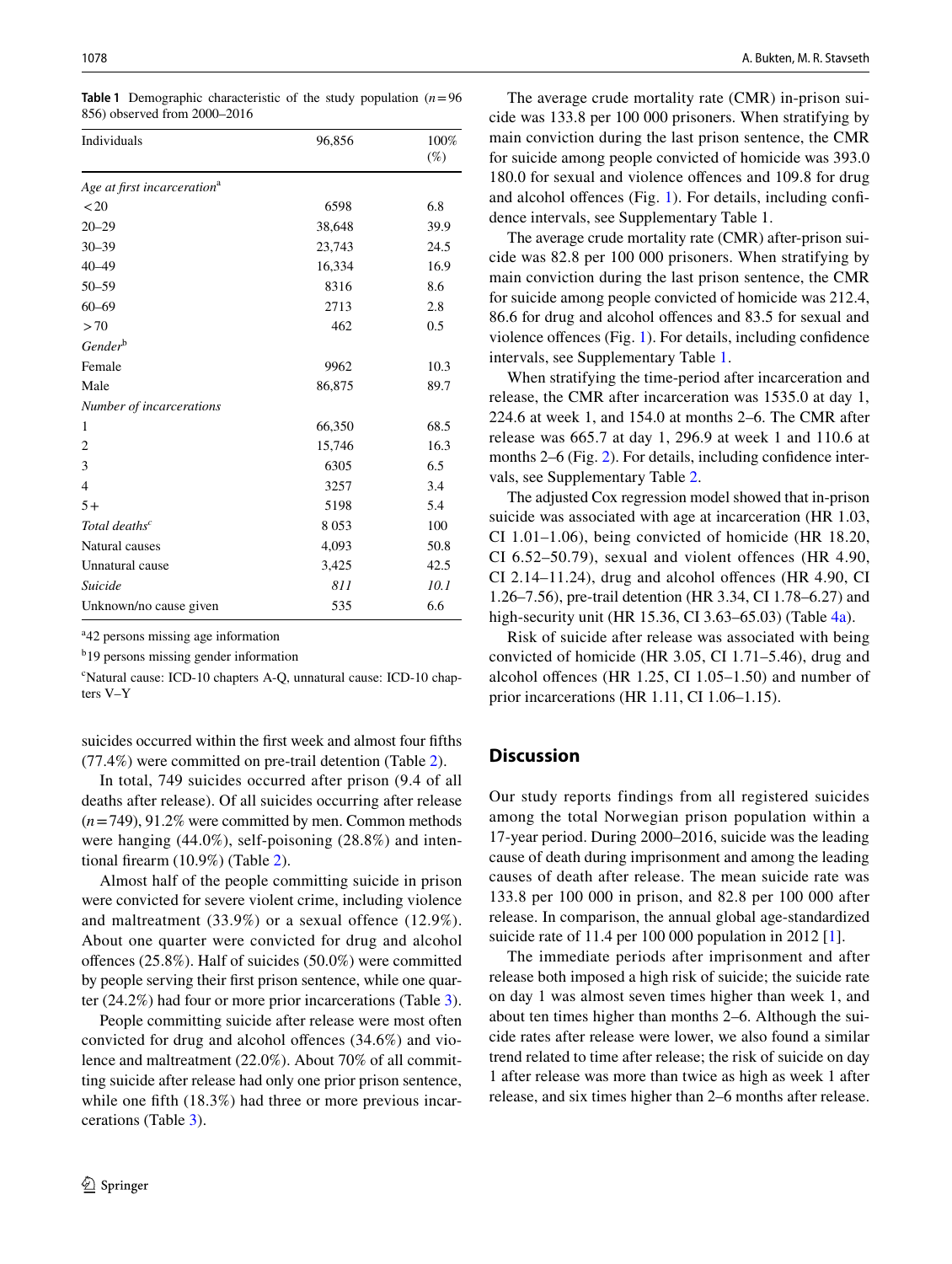<span id="page-3-0"></span>**Table 1** Demographic characteristic of the study population  $(n=96)$ 856) observed from 2000–2016

| Individuals                             | 96,856 | 100%<br>$(\%)$ |
|-----------------------------------------|--------|----------------|
|                                         |        |                |
| Age at first incarceration <sup>a</sup> |        |                |
| $20$                                    | 6598   | 6.8            |
| $20 - 29$                               | 38,648 | 39.9           |
| $30 - 39$                               | 23,743 | 24.5           |
| $40 - 49$                               | 16,334 | 16.9           |
| $50 - 59$                               | 8316   | 8.6            |
| $60 - 69$                               | 2713   | 2.8            |
| >70                                     | 462    | 0.5            |
| Gender <sup>b</sup>                     |        |                |
| Female                                  | 9962   | 10.3           |
| Male                                    | 86,875 | 89.7           |
| Number of incarcerations                |        |                |
| 1                                       | 66,350 | 68.5           |
| 2                                       | 15,746 | 16.3           |
| 3                                       | 6305   | 6.5            |
| $\overline{4}$                          | 3257   | 3.4            |
| $5+$                                    | 5198   | 5.4            |
| Total deaths <sup>c</sup>               | 8053   | 100            |
| Natural causes                          | 4,093  | 50.8           |
| Unnatural cause                         | 3,425  | 42.5           |
| <b>Suicide</b>                          | 811    | 10.1           |
| Unknown/no cause given                  | 535    | 6.6            |

a 42 persons missing age information

<sup>b</sup>19 persons missing gender information

c Natural cause: ICD-10 chapters A-Q, unnatural cause: ICD-10 chapters V–Y

suicides occurred within the frst week and almost four ffths (77.4%) were committed on pre-trail detention (Table [2](#page-4-0)).

In total, 749 suicides occurred after prison (9.4 of all deaths after release). Of all suicides occurring after release (*n*=749), 91.2% were committed by men. Common methods were hanging (44.0%), self-poisoning (28.8%) and intentional frearm (10.9%) (Table [2](#page-4-0)).

Almost half of the people committing suicide in prison were convicted for severe violent crime, including violence and maltreatment (33.9%) or a sexual offence (12.9%). About one quarter were convicted for drug and alcohol ofences (25.8%). Half of suicides (50.0%) were committed by people serving their frst prison sentence, while one quarter (24.2%) had four or more prior incarcerations (Table [3](#page-5-0)).

People committing suicide after release were most often convicted for drug and alcohol ofences (34.6%) and violence and maltreatment (22.0%). About 70% of all committing suicide after release had only one prior prison sentence, while one fifth (18.3%) had three or more previous incarcerations (Table [3](#page-5-0)).

The average crude mortality rate (CMR) in-prison suicide was 133.8 per 100 000 prisoners. When stratifying by main conviction during the last prison sentence, the CMR for suicide among people convicted of homicide was 393.0 180.0 for sexual and violence ofences and 109.8 for drug and alcohol ofences (Fig. [1\)](#page-5-1). For details, including confdence intervals, see Supplementary Table 1.

The average crude mortality rate (CMR) after-prison suicide was 82.8 per 100 000 prisoners. When stratifying by main conviction during the last prison sentence, the CMR for suicide among people convicted of homicide was 212.4, 86.6 for drug and alcohol ofences and 83.5 for sexual and violence ofences (Fig. [1\)](#page-5-1). For details, including confdence intervals, see Supplementary Table [1](#page-3-0).

When stratifying the time-period after incarceration and release, the CMR after incarceration was 1535.0 at day 1, 224.6 at week 1, and 154.0 at months 2–6. The CMR after release was 665.7 at day 1, 296.9 at week 1 and 110.6 at months 2–6 (Fig. [2\)](#page-6-0). For details, including confidence intervals, see Supplementary Table [2.](#page-4-0)

The adjusted Cox regression model showed that in-prison suicide was associated with age at incarceration (HR 1.03, CI 1.01–1.06), being convicted of homicide (HR 18.20, CI 6.52–50.79), sexual and violent offences (HR 4.90, CI 2.14–11.24), drug and alcohol ofences (HR 4.90, CI 1.26–7.56), pre-trail detention (HR 3.34, CI 1.78–6.27) and high-security unit (HR 15.36, CI 3.63–65.03) (Table [4a\)](#page-6-1).

Risk of suicide after release was associated with being convicted of homicide (HR 3.05, CI 1.71–5.46), drug and alcohol ofences (HR 1.25, CI 1.05–1.50) and number of prior incarcerations (HR 1.11, CI 1.06–1.15).

# **Discussion**

Our study reports findings from all registered suicides among the total Norwegian prison population within a 17-year period. During 2000–2016, suicide was the leading cause of death during imprisonment and among the leading causes of death after release. The mean suicide rate was 133.8 per 100 000 in prison, and 82.8 per 100 000 after release. In comparison, the annual global age-standardized suicide rate of 11.4 per 100 000 population in 2012 [\[1](#page-7-0)].

The immediate periods after imprisonment and after release both imposed a high risk of suicide; the suicide rate on day 1 was almost seven times higher than week 1, and about ten times higher than months 2–6. Although the suicide rates after release were lower, we also found a similar trend related to time after release; the risk of suicide on day 1 after release was more than twice as high as week 1 after release, and six times higher than 2–6 months after release.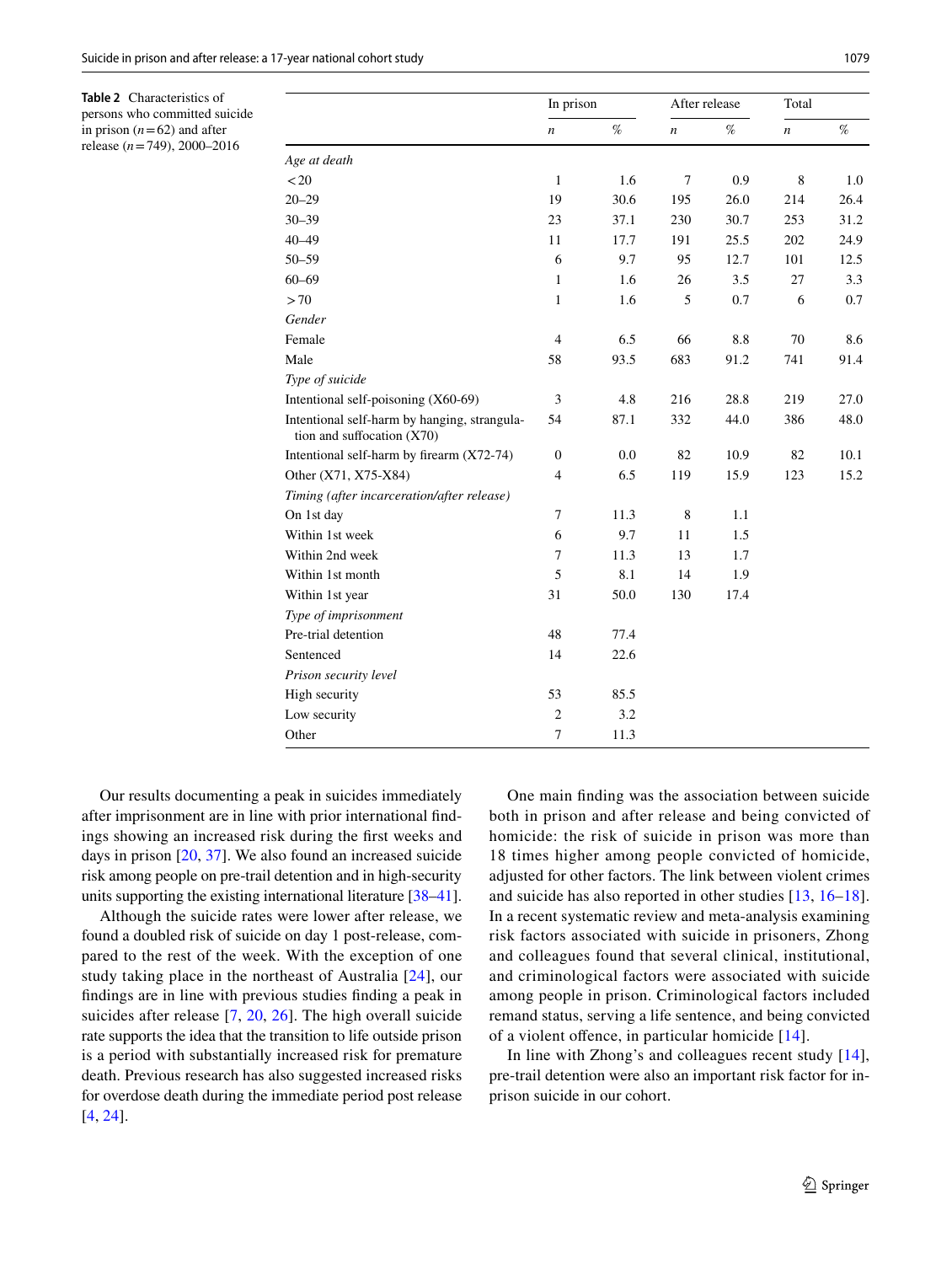<span id="page-4-0"></span>**Table 2** Characteristics of persons who committed suicide in prison  $(n=62)$  and after release (*n*=749), 2000–2016

|                                                                            | In prison        |      | After release    |      | Total |      |
|----------------------------------------------------------------------------|------------------|------|------------------|------|-------|------|
|                                                                            | $\boldsymbol{n}$ | $\%$ | $\boldsymbol{n}$ | $\%$ | n     | $\%$ |
| Age at death                                                               |                  |      |                  |      |       |      |
| < 20                                                                       | $\mathbf{1}$     | 1.6  | $\overline{7}$   | 0.9  | 8     | 1.0  |
| $20 - 29$                                                                  | 19               | 30.6 | 195              | 26.0 | 214   | 26.4 |
| $30 - 39$                                                                  | 23               | 37.1 | 230              | 30.7 | 253   | 31.2 |
| 40-49                                                                      | 11               | 17.7 | 191              | 25.5 | 202   | 24.9 |
| $50 - 59$                                                                  | 6                | 9.7  | 95               | 12.7 | 101   | 12.5 |
| $60 - 69$                                                                  | $\mathbf{1}$     | 1.6  | 26               | 3.5  | 27    | 3.3  |
| >70                                                                        | $\mathbf{1}$     | 1.6  | 5                | 0.7  | 6     | 0.7  |
| Gender                                                                     |                  |      |                  |      |       |      |
| Female                                                                     | 4                | 6.5  | 66               | 8.8  | 70    | 8.6  |
| Male                                                                       | 58               | 93.5 | 683              | 91.2 | 741   | 91.4 |
| Type of suicide                                                            |                  |      |                  |      |       |      |
| Intentional self-poisoning (X60-69)                                        | 3                | 4.8  | 216              | 28.8 | 219   | 27.0 |
| Intentional self-harm by hanging, strangula-<br>tion and suffocation (X70) | 54               | 87.1 | 332              | 44.0 | 386   | 48.0 |
| Intentional self-harm by firearm (X72-74)                                  | $\mathbf{0}$     | 0.0  | 82               | 10.9 | 82    | 10.1 |
| Other (X71, X75-X84)                                                       | 4                | 6.5  | 119              | 15.9 | 123   | 15.2 |
| Timing (after incarceration/after release)                                 |                  |      |                  |      |       |      |
| On 1st day                                                                 | 7                | 11.3 | 8                | 1.1  |       |      |
| Within 1st week                                                            | 6                | 9.7  | 11               | 1.5  |       |      |
| Within 2nd week                                                            | 7                | 11.3 | 13               | 1.7  |       |      |
| Within 1st month                                                           | 5                | 8.1  | 14               | 1.9  |       |      |
| Within 1st year                                                            | 31               | 50.0 | 130              | 17.4 |       |      |
| Type of imprisonment                                                       |                  |      |                  |      |       |      |
| Pre-trial detention                                                        | 48               | 77.4 |                  |      |       |      |
| Sentenced                                                                  | 14               | 22.6 |                  |      |       |      |
| Prison security level                                                      |                  |      |                  |      |       |      |
| High security                                                              | 53               | 85.5 |                  |      |       |      |
| Low security                                                               | $\overline{2}$   | 3.2  |                  |      |       |      |
| Other                                                                      | $\overline{7}$   | 11.3 |                  |      |       |      |

Our results documenting a peak in suicides immediately after imprisonment are in line with prior international fndings showing an increased risk during the frst weeks and days in prison [\[20,](#page-8-10) [37\]](#page-8-27). We also found an increased suicide risk among people on pre-trail detention and in high-security units supporting the existing international literature [[38](#page-8-28)[–41](#page-8-29)].

Although the suicide rates were lower after release, we found a doubled risk of suicide on day 1 post-release, compared to the rest of the week. With the exception of one study taking place in the northeast of Australia [[24](#page-8-13)], our fndings are in line with previous studies fnding a peak in suicides after release [[7,](#page-8-14) [20,](#page-8-10) [26](#page-8-16)]. The high overall suicide rate supports the idea that the transition to life outside prison is a period with substantially increased risk for premature death. Previous research has also suggested increased risks for overdose death during the immediate period post release [\[4](#page-8-0), [24\]](#page-8-13).

One main fnding was the association between suicide both in prison and after release and being convicted of homicide: the risk of suicide in prison was more than 18 times higher among people convicted of homicide, adjusted for other factors. The link between violent crimes and suicide has also reported in other studies [[13](#page-8-6), [16–](#page-8-4)[18](#page-8-8)]. In a recent systematic review and meta-analysis examining risk factors associated with suicide in prisoners, Zhong and colleagues found that several clinical, institutional, and criminological factors were associated with suicide among people in prison. Criminological factors included remand status, serving a life sentence, and being convicted of a violent ofence, in particular homicide [[14\]](#page-8-2).

In line with Zhong's and colleagues recent study [[14](#page-8-2)], pre-trail detention were also an important risk factor for inprison suicide in our cohort.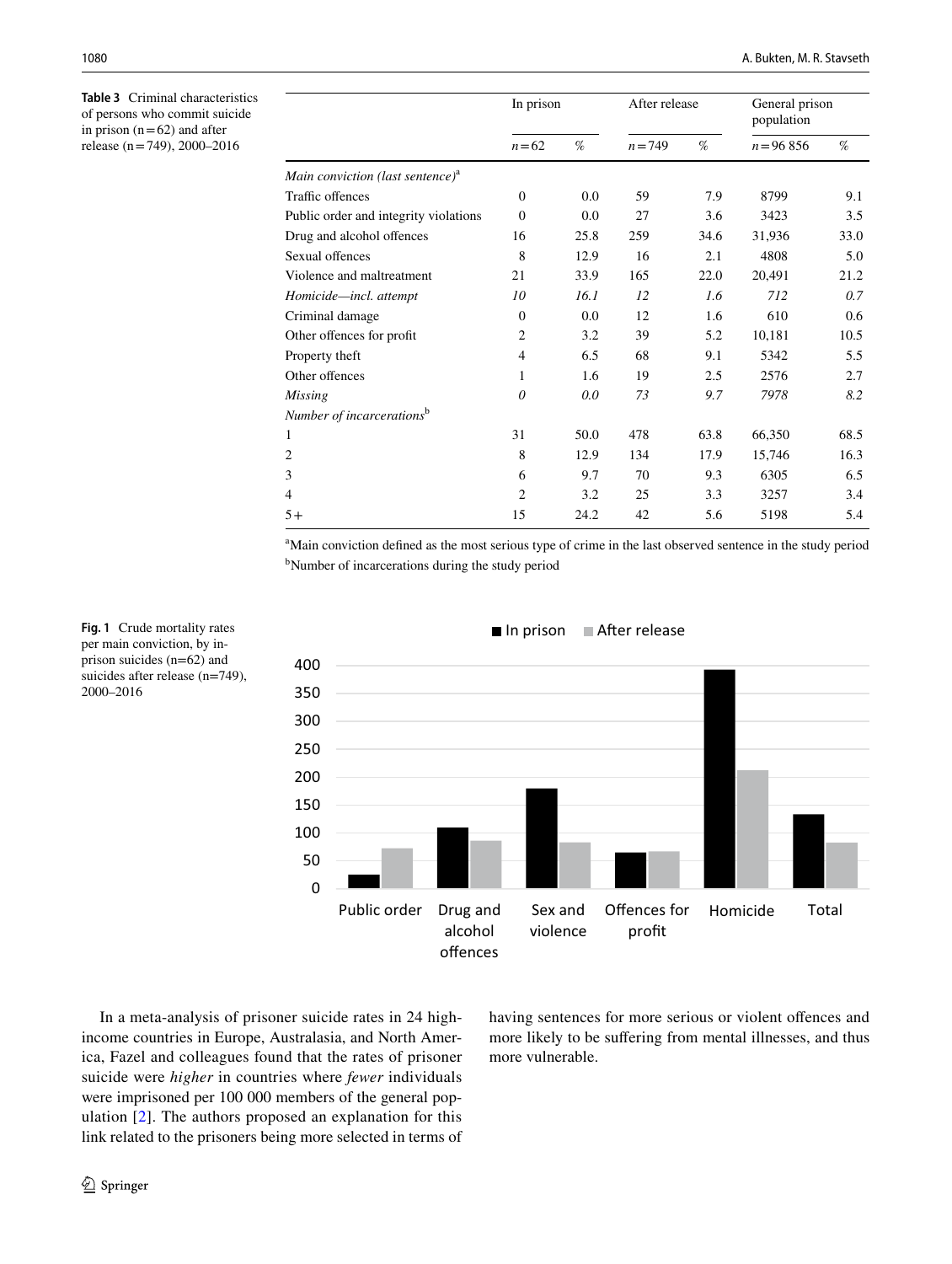<span id="page-5-0"></span>**Table 3** Criminal characteristics of persons who commit suicide in prison  $(n=62)$  and after release (n=749), 2000–2016

|                                              | In prison      |      | After release |      | General prison<br>population |      |
|----------------------------------------------|----------------|------|---------------|------|------------------------------|------|
|                                              | $n=62$         | %    | $n = 749$     | %    | $n = 96856$                  | $\%$ |
| Main conviction (last sentence) <sup>a</sup> |                |      |               |      |                              |      |
| Traffic offences                             | $\mathbf{0}$   | 0.0  | 59            | 7.9  | 8799                         | 9.1  |
| Public order and integrity violations        | $\overline{0}$ | 0.0  | 27            | 3.6  | 3423                         | 3.5  |
| Drug and alcohol offences                    | 16             | 25.8 | 259           | 34.6 | 31,936                       | 33.0 |
| Sexual offences                              | 8              | 12.9 | 16            | 2.1  | 4808                         | 5.0  |
| Violence and maltreatment                    | 21             | 33.9 | 165           | 22.0 | 20,491                       | 21.2 |
| Homicide-incl. attempt                       | 10             | 16.1 | 12            | 1.6  | 712                          | 0.7  |
| Criminal damage                              | $\mathbf{0}$   | 0.0  | 12            | 1.6  | 610                          | 0.6  |
| Other offences for profit                    | $\overline{2}$ | 3.2  | 39            | 5.2  | 10,181                       | 10.5 |
| Property theft                               | $\overline{4}$ | 6.5  | 68            | 9.1  | 5342                         | 5.5  |
| Other offences                               | 1              | 1.6  | 19            | 2.5  | 2576                         | 2.7  |
| Missing                                      | 0              | 0.0  | 73            | 9.7  | 7978                         | 8.2  |
| Number of incarcerations <sup>b</sup>        |                |      |               |      |                              |      |
| 1                                            | 31             | 50.0 | 478           | 63.8 | 66,350                       | 68.5 |
| $\overline{\mathbf{c}}$                      | 8              | 12.9 | 134           | 17.9 | 15,746                       | 16.3 |
| 3                                            | 6              | 9.7  | 70            | 9.3  | 6305                         | 6.5  |
| 4                                            | $\overline{2}$ | 3.2  | 25            | 3.3  | 3257                         | 3.4  |
| $5+$                                         | 15             | 24.2 | 42            | 5.6  | 5198                         | 5.4  |

<sup>a</sup>Main conviction defined as the most serious type of crime in the last observed sentence in the study period <sup>b</sup>Number of incarcerations during the study period



#### $\blacksquare$  In prison  $\blacksquare$  After release

<span id="page-5-1"></span>**Fig. 1** Crude mortality rates per main conviction, by inprison suicides (n=62) and suicides after release (n=749), 2000–2016

In a meta-analysis of prisoner suicide rates in 24 highincome countries in Europe, Australasia, and North America, Fazel and colleagues found that the rates of prisoner suicide were *higher* in countries where *fewer* individuals were imprisoned per 100 000 members of the general population [[2\]](#page-7-1). The authors proposed an explanation for this link related to the prisoners being more selected in terms of having sentences for more serious or violent ofences and more likely to be sufering from mental illnesses, and thus more vulnerable.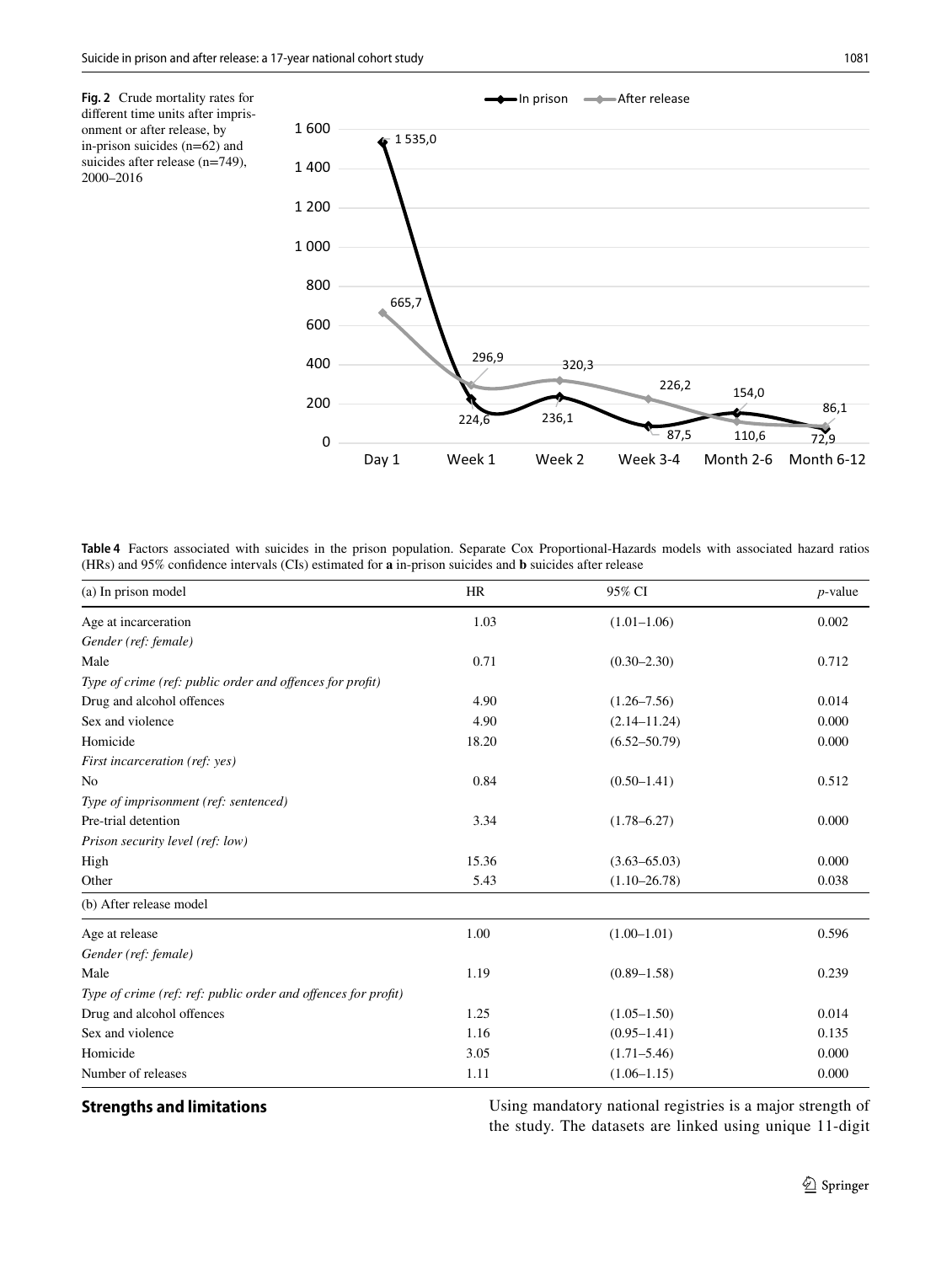<span id="page-6-0"></span>**Fig. 2** Crude mortality rates for diferent time units after imprisonment or after release, by in-prison suicides (n=62) and suicides after release (n=749), 2000–2016



<span id="page-6-1"></span>**Table 4** Factors associated with suicides in the prison population. Separate Cox Proportional-Hazards models with associated hazard ratios (HRs) and 95% confdence intervals (CIs) estimated for **a** in-prison suicides and **b** suicides after release

| (a) In prison model                                            | <b>HR</b> | 95% CI           | $p$ -value |
|----------------------------------------------------------------|-----------|------------------|------------|
| Age at incarceration                                           | 1.03      | $(1.01-1.06)$    | 0.002      |
| Gender (ref: female)                                           |           |                  |            |
| Male                                                           | 0.71      | $(0.30 - 2.30)$  | 0.712      |
| Type of crime (ref: public order and offences for profit)      |           |                  |            |
| Drug and alcohol offences                                      | 4.90      | $(1.26 - 7.56)$  | 0.014      |
| Sex and violence                                               | 4.90      | $(2.14 - 11.24)$ | 0.000      |
| Homicide                                                       | 18.20     | $(6.52 - 50.79)$ | 0.000      |
| First incarceration (ref: yes)                                 |           |                  |            |
| N <sub>0</sub>                                                 | 0.84      | $(0.50 - 1.41)$  | 0.512      |
| Type of imprisonment (ref: sentenced)                          |           |                  |            |
| Pre-trial detention                                            | 3.34      | $(1.78 - 6.27)$  | 0.000      |
| Prison security level (ref: low)                               |           |                  |            |
| High                                                           | 15.36     | $(3.63 - 65.03)$ | 0.000      |
| Other                                                          | 5.43      | $(1.10 - 26.78)$ | 0.038      |
| (b) After release model                                        |           |                  |            |
| Age at release                                                 | 1.00      | $(1.00 - 1.01)$  | 0.596      |
| Gender (ref: female)                                           |           |                  |            |
| Male                                                           | 1.19      | $(0.89 - 1.58)$  | 0.239      |
| Type of crime (ref: ref: public order and offences for profit) |           |                  |            |
| Drug and alcohol offences                                      | 1.25      | $(1.05 - 1.50)$  | 0.014      |
| Sex and violence                                               | 1.16      | $(0.95 - 1.41)$  | 0.135      |
| Homicide                                                       | 3.05      | $(1.71 - 5.46)$  | 0.000      |
| Number of releases                                             | 1.11      | $(1.06 - 1.15)$  | 0.000      |

**Strengths and limitations** Using mandatory national registries is a major strength of the study. The datasets are linked using unique 11-digit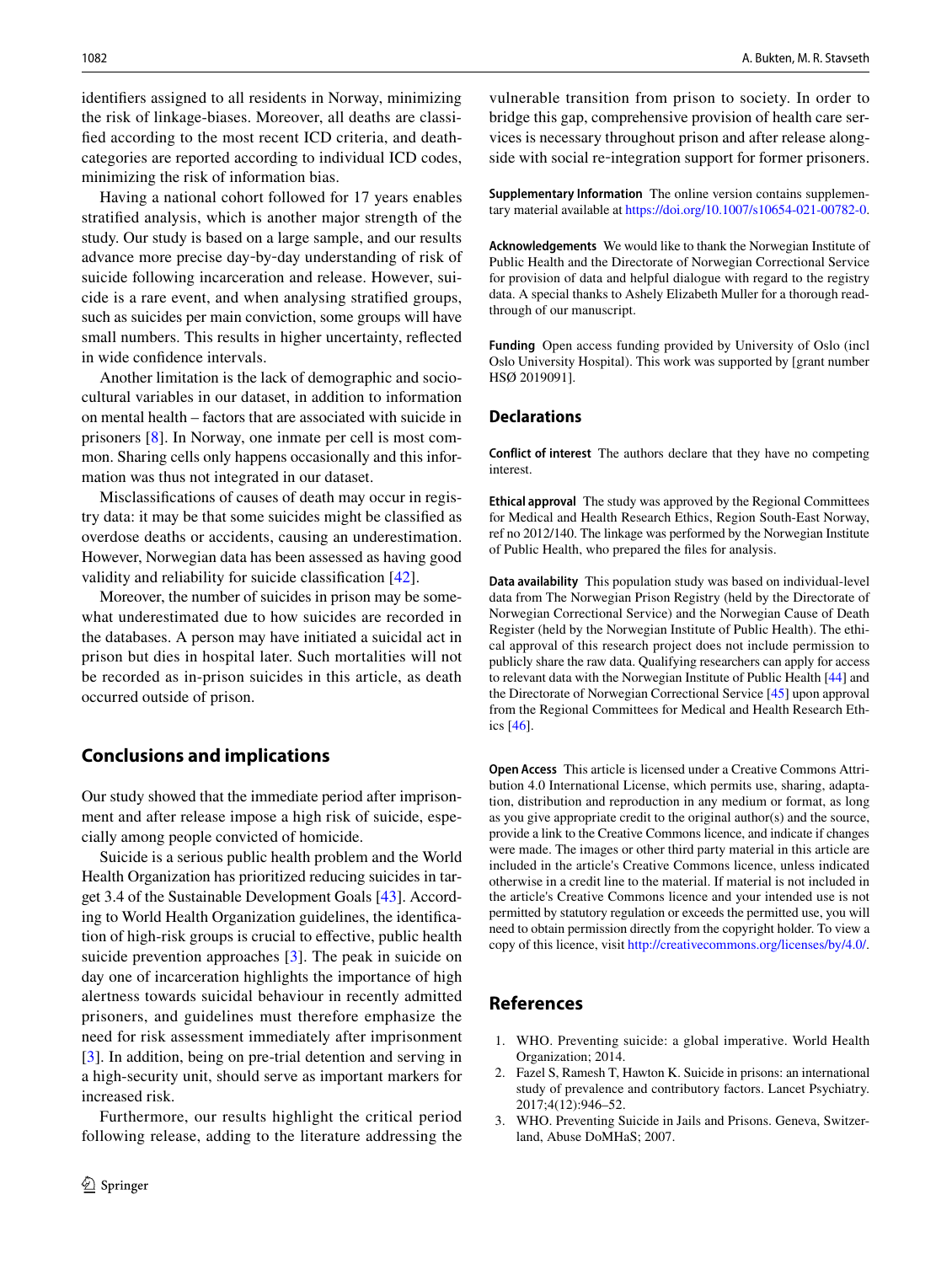identifers assigned to all residents in Norway, minimizing the risk of linkage-biases. Moreover, all deaths are classifed according to the most recent ICD criteria, and deathcategories are reported according to individual ICD codes, minimizing the risk of information bias.

Having a national cohort followed for 17 years enables stratifed analysis, which is another major strength of the study. Our study is based on a large sample, and our results advance more precise day‐by‐day understanding of risk of suicide following incarceration and release. However, suicide is a rare event, and when analysing stratifed groups, such as suicides per main conviction, some groups will have small numbers. This results in higher uncertainty, refected in wide confdence intervals.

Another limitation is the lack of demographic and sociocultural variables in our dataset, in addition to information on mental health – factors that are associated with suicide in prisoners [\[8](#page-8-5)]. In Norway, one inmate per cell is most common. Sharing cells only happens occasionally and this information was thus not integrated in our dataset.

Misclassifcations of causes of death may occur in registry data: it may be that some suicides might be classifed as overdose deaths or accidents, causing an underestimation. However, Norwegian data has been assessed as having good validity and reliability for suicide classifcation [[42\]](#page-8-30).

Moreover, the number of suicides in prison may be somewhat underestimated due to how suicides are recorded in the databases. A person may have initiated a suicidal act in prison but dies in hospital later. Such mortalities will not be recorded as in-prison suicides in this article, as death occurred outside of prison.

# **Conclusions and implications**

Our study showed that the immediate period after imprisonment and after release impose a high risk of suicide, especially among people convicted of homicide.

Suicide is a serious public health problem and the World Health Organization has prioritized reducing suicides in target 3.4 of the Sustainable Development Goals [\[43](#page-8-31)]. According to World Health Organization guidelines, the identifcation of high-risk groups is crucial to efective, public health suicide prevention approaches [\[3](#page-7-2)]. The peak in suicide on day one of incarceration highlights the importance of high alertness towards suicidal behaviour in recently admitted prisoners, and guidelines must therefore emphasize the need for risk assessment immediately after imprisonment [\[3](#page-7-2)]. In addition, being on pre-trial detention and serving in a high-security unit, should serve as important markers for increased risk.

Furthermore, our results highlight the critical period following release, adding to the literature addressing the

vulnerable transition from prison to society. In order to bridge this gap, comprehensive provision of health care services is necessary throughout prison and after release alongside with social re-integration support for former prisoners.

**Supplementary Information** The online version contains supplementary material available at<https://doi.org/10.1007/s10654-021-00782-0>.

**Acknowledgements** We would like to thank the Norwegian Institute of Public Health and the Directorate of Norwegian Correctional Service for provision of data and helpful dialogue with regard to the registry data. A special thanks to Ashely Elizabeth Muller for a thorough readthrough of our manuscript.

**Funding** Open access funding provided by University of Oslo (incl Oslo University Hospital). This work was supported by [grant number HSØ 2019091].

### **Declarations**

**Conflict of interest** The authors declare that they have no competing interest.

**Ethical approval** The study was approved by the Regional Committees for Medical and Health Research Ethics, Region South-East Norway, ref no 2012/140. The linkage was performed by the Norwegian Institute of Public Health, who prepared the fles for analysis.

**Data availability** This population study was based on individual-level data from The Norwegian Prison Registry (held by the Directorate of Norwegian Correctional Service) and the Norwegian Cause of Death Register (held by the Norwegian Institute of Public Health). The ethical approval of this research project does not include permission to publicly share the raw data. Qualifying researchers can apply for access to relevant data with the Norwegian Institute of Public Health [[44](#page-8-32)] and the Directorate of Norwegian Correctional Service [[45](#page-8-33)] upon approval from the Regional Committees for Medical and Health Research Ethics [[46](#page-8-34)].

**Open Access** This article is licensed under a Creative Commons Attribution 4.0 International License, which permits use, sharing, adaptation, distribution and reproduction in any medium or format, as long as you give appropriate credit to the original author(s) and the source, provide a link to the Creative Commons licence, and indicate if changes were made. The images or other third party material in this article are included in the article's Creative Commons licence, unless indicated otherwise in a credit line to the material. If material is not included in the article's Creative Commons licence and your intended use is not permitted by statutory regulation or exceeds the permitted use, you will need to obtain permission directly from the copyright holder. To view a copy of this licence, visit<http://creativecommons.org/licenses/by/4.0/>.

# **References**

- <span id="page-7-0"></span>1. WHO. Preventing suicide: a global imperative. World Health Organization; 2014.
- <span id="page-7-1"></span>2. Fazel S, Ramesh T, Hawton K. Suicide in prisons: an international study of prevalence and contributory factors. Lancet Psychiatry. 2017;4(12):946–52.
- <span id="page-7-2"></span>3. WHO. Preventing Suicide in Jails and Prisons. Geneva, Switzerland, Abuse DoMHaS; 2007.